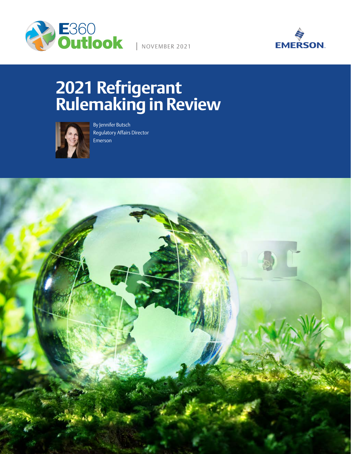

NOVEMBER 2021



# **2021 Refrigerant Rulemaking in Review**



By Jennifer Butsch Regulatory Affairs Director Emerson

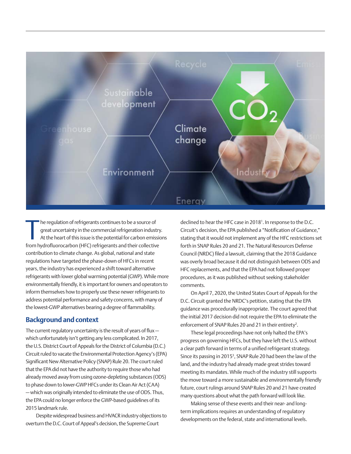

The regulation of refrigerants continues to be a source of<br>great uncertainty in the commercial refrigeration industry<br>At the heart of this issue is the potential for carbon emissio<br>from hydrofluorocarbon (HFC) refrigerants he regulation of refrigerants continues to be a source of great uncertainty in the commercial refrigeration industry. At the heart of this issue is the potential for carbon emissions contribution to climate change. As global, national and state regulations have targeted the phase-down of HFCs in recent years, the industry has experienced a shift toward alternative refrigerants with lower global warming potential (GWP). While more environmentally friendly, it is important for owners and operators to inform themselves how to properly use these newer refrigerants to address potential performance and safety concerns, with many of the lowest-GWP alternatives bearing a degree of flammability.

#### **Background and context**

The current regulatory uncertainty is the result of years of flux which unfortunately isn't getting any less complicated. In 2017, the U.S. District Court of Appeals for the District of Columbia (D.C.) Circuit ruled to vacate the Environmental Protection Agency's (EPA) Significant New Alternative Policy (SNAP) Rule 20. The court ruled that the EPA did not have the authority to require those who had already moved away from using ozone-depleting substances (ODS) to phase down to lower-GWP HFCs under its Clean Air Act (CAA) — which was originally intended to eliminate the use of ODS. Thus, the EPA could no longer enforce the GWP-based guidelines of its 2015 landmark rule.

Despite widespread business and HVACR industry objections to overturn the D.C. Court of Appeal's decision, the Supreme Court

declined to hear the HFC case in 2018<sup>1</sup>. In response to the D.C. Circuit's decision, the EPA published a "Notification of Guidance," stating that it would not implement any of the HFC restrictions set forth in SNAP Rules 20 and 21. The Natural Resources Defense Council (NRDC) filed a lawsuit, claiming that the 2018 Guidance was overly broad because it did not distinguish between ODS and HFC replacements, and that the EPA had not followed proper procedures, as it was published without seeking stakeholder comments.

On April 7, 2020, the United States Court of Appeals for the D.C. Circuit granted the NRDC's petition, stating that the EPA guidance was procedurally inappropriate. The court agreed that the initial 2017 decision did not require the EPA to eliminate the enforcement of SNAP Rules 20 and 21 in their entirety<sup>2</sup>.

These legal proceedings have not only halted the EPA's progress on governing HFCs, but they have left the U.S. without a clear path forward in terms of a unified refrigerant strategy. Since its passing in 2015<sup>3</sup>, SNAP Rule 20 had been the law of the land, and the industry had already made great strides toward meeting its mandates. While much of the industry still supports the move toward a more sustainable and environmentally friendly future, court rulings around SNAP Rules 20 and 21 have created many questions about what the path forward will look like.

Making sense of these events and their near- and longterm implications requires an understanding of regulatory developments on the federal, state and international levels.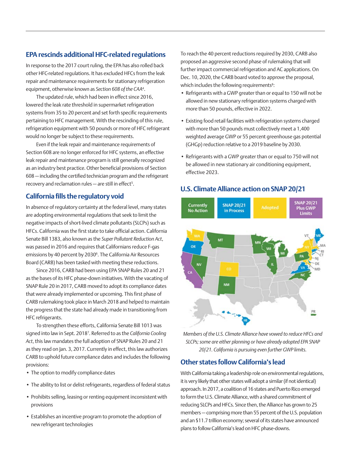## **EPA rescinds additional HFC-related regulations**

In response to the 2017 court ruling, the EPA has also rolled back other HFC-related regulations. It has excluded HFCs from the leak repair and maintenance requirements for stationary refrigeration equipment, otherwise known as *Section 608 of the CAA*<sup>4</sup> .

The updated rule, which had been in effect since 2016, lowered the leak rate threshold in supermarket refrigeration systems from 35 to 20 percent and set forth specific requirements pertaining to HFC management. With the rescinding of this rule, refrigeration equipment with 50 pounds or more of HFC refrigerant would no longer be subject to these requirements.

Even if the leak repair and maintenance requirements of Section 608 are no longer enforced for HFC systems, an effective leak repair and maintenance program is still generally recognized as an industry best practice. Other beneficial provisions of Section 608 — including the certified technician program and the refrigerant recovery and reclamation rules — are still in effect<sup>5</sup>.

## **California fills the regulatory void**

In absence of regulatory certainty at the federal level, many states are adopting environmental regulations that seek to limit the negative impacts of short-lived climate pollutants (SLCPs) such as HFCs. California was the first state to take official action. California Senate Bill 1383, also known as the *Super Pollutant Reduction Act*, was passed in 2016 and requires that Californians reduce F-gas emissions by 40 percent by 2030<sup>6</sup>. The California Air Resources Board (CARB) has been tasked with meeting these reductions.

Since 2016, CARB had been using EPA SNAP Rules 20 and 21 as the bases of its HFC phase-down initiatives. With the vacating of SNAP Rule 20 in 2017, CARB moved to adopt its compliance dates that were already implemented or upcoming. This first phase of CARB rulemaking took place in March 2018 and helped to maintain the progress that the state had already made in transitioning from HFC refrigerants.

To strengthen these efforts, California Senate Bill 1013 was signed into law in Sept. 20187 . Referred to as the *California Cooling Act*, this law mandates the full adoption of SNAP Rules 20 and 21 as they read on Jan. 3, 2017. Currently in effect, this law authorizes CARB to uphold future compliance dates and includes the following provisions:

- The option to modify compliance dates
- The ability to list or delist refrigerants, regardless of federal status
- Prohibits selling, leasing or renting equipment inconsistent with provisions
- Establishes an incentive program to promote the adoption of new refrigerant technologies

To reach the 40 percent reductions required by 2030, CARB also proposed an aggressive second phase of rulemaking that will further impact commercial refrigeration and AC applications. On Dec. 10, 2020, the CARB board voted to approve the proposal, which includes the following requirements<sup>8</sup>:

- Refrigerants with a GWP greater than or equal to 150 will not be allowed in new stationary refrigeration systems charged with more than 50 pounds, effective in 2022.
- Existing food retail facilities with refrigeration systems charged with more than 50 pounds must collectively meet a 1,400 weighted average GWP or 55 percent greenhouse gas potential (GHGp) reduction relative to a 2019 baseline by 2030.
- Refrigerants with a GWP greater than or equal to 750 will not be allowed in new stationary air conditioning equipment, effective 2023.

#### **U.S. Climate Alliance action on SNAP 20/21**



*Members of the U.S. Climate Alliance have vowed to reduce HFCs and SLCPs; some are either planning or have already adopted EPA SNAP 20/21. California is pursuing even further GWP limits.*

## **Other states follow California's lead**

With California taking a leadership role on environmental regulations, it is very likely that other states will adopt a similar (if not identical) approach. In 2017, a coalition of 16 states and Puerto Rico emerged to form the U.S. Climate Alliance, with a shared commitment of reducing SLCPs and HFCs. Since then, the Alliance has grown to 25 members — comprising more than 55 percent of the U.S. population and an \$11.7 trillion economy; several of its states have announced plans to follow California's lead on HFC phase-downs.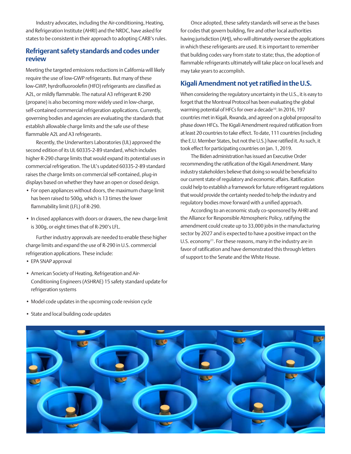Industry advocates, including the Air-conditioning, Heating, and Refrigeration Institute (AHRI) and the NRDC, have asked for states to be consistent in their approach to adopting CARB's rules.

#### **Refrigerant safety standards and codes under review**

Meeting the targeted emissions reductions in California will likely require the use of low-GWP refrigerants. But many of these low-GWP, hyrdrofluoroolefin (HFO) refrigerants are classified as A2L, or mildly flammable. The natural A3 refrigerant R-290 (propane) is also becoming more widely used in low-charge, self-contained commercial refrigeration applications. Currently, governing bodies and agencies are evaluating the standards that establish allowable charge limits and the safe use of these flammable A2L and A3 refrigerants.

Recently, the Underwriters Laboratories (UL) approved the second edition of its UL 60335-2-89 standard, which includes higher R-290 charge limits that would expand its potential uses in commercial refrigeration. The UL's updated 60335-2-89 standard raises the charge limits on commercial self-contained, plug-in displays based on whether they have an open or closed design.

- For open appliances without doors, the maximum charge limit has been raised to 500g, which is 13 times the lower flammability limit (LFL) of R-290.
- In closed appliances with doors or drawers, the new charge limit is 300g, or eight times that of R-290's LFL.

Further industry approvals are needed to enable these higher charge limits and expand the use of R-290 in U.S. commercial refrigeration applications. These include:

- EPA SNAP approval
- American Society of Heating, Refrigeration and Air-Conditioning Engineers (ASHRAE) 15 safety standard update for refrigeration systems

Once adopted, these safety standards will serve as the bases for codes that govern building, fire and other local authorities having jurisdiction (AHJ), who will ultimately oversee the applications in which these refrigerants are used. It is important to remember that building codes vary from state to state; thus, the adoption of flammable refrigerants ultimately will take place on local levels and may take years to accomplish.

#### **Kigali Amendment not yet ratified in the U.S.**

When considering the regulatory uncertainty in the U.S., it is easy to forget that the Montreal Protocol has been evaluating the global warming potential of HFCs for over a decade<sup>10</sup>. In 2016, 197 countries met in Kigali, Rwanda, and agreed on a global proposal to phase down HFCs. The Kigali Amendment required ratification from at least 20 countries to take effect. To date, 111 countries (including the E.U. Member States, but not the U.S.) have ratified it. As such, it took effect for participating countries on Jan. 1, 2019.

The Biden administration has issued an Executive Order recommending the ratification of the Kigali Amendment. Many industry stakeholders believe that doing so would be beneficial to our current state of regulatory and economic affairs. Ratification could help to establish a framework for future refrigerant regulations that would provide the certainty needed to help the industry and regulatory bodies move forward with a unified approach.

According to an economic study co-sponsored by AHRI and the Alliance for Responsible Atmospheric Policy, ratifying the amendment could create up to 33,000 jobs in the manufacturing sector by 2027 and is expected to have a positive impact on the U.S. economy<sup>11</sup>. For these reasons, many in the industry are in favor of ratification and have demonstrated this through letters of support to the Senate and the White House.

- Model code updates in the upcoming code revision cycle
- State and local building code updates

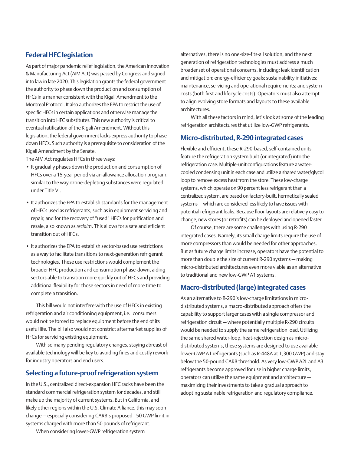#### **Federal HFC legislation**

As part of major pandemic relief legislation, the American Innovation & Manufacturing Act (AIM Act) was passed by Congress and signed into law in late 2020. This legislation grants the federal government the authority to phase down the production and consumption of HFCs in a manner consistent with the Kigali Amendment to the Montreal Protocol. It also authorizes the EPA to restrict the use of specific HFCs in certain applications and otherwise manage the transition into HFC substitutes. This new authority is critical to eventual ratification of the Kigali Amendment. Without this legislation, the federal government lacks express authority to phase down HFCs. Such authority is a prerequisite to consideration of the Kigali Amendment by the Senate.

The AIM Act regulates HFCs in three ways:

- It gradually phases down the production and consumption of HFCs over a 15-year period via an allowance allocation program, similar to the way ozone-depleting substances were regulated under Title VI.
- It authorizes the EPA to establish standards for the management of HFCs used as refrigerants, such as in equipment servicing and repair, and for the recovery of "used" HFCs for purification and resale, also known as *reclaim*. This allows for a safe and efficient transition out of HFCs.
- It authorizes the EPA to establish sector-based use restrictions as a way to facilitate transitions to next-generation refrigerant technologies. These use restrictions would complement the broader HFC production and consumption phase-down, aiding sectors able to transition more quickly out of HFCs and providing additional flexibility for those sectors in need of more time to complete a transition.

This bill would not interfere with the use of HFCs in existing refrigeration and air conditioning equipment, i.e., consumers would not be forced to replace equipment before the end of its useful life. The bill also would not constrict aftermarket supplies of HFCs for servicing existing equipment.

With so many pending regulatory changes, staying abreast of available technology will be key to avoiding fines and costly rework for industry operators and end users.

#### **Selecting a future-proof refrigeration system**

In the U.S., centralized direct-expansion HFC racks have been the standard commercial refrigeration system for decades, and still make up the majority of current systems. But in California, and likely other regions within the U.S. Climate Alliance, this may soon change — especially considering CARB's proposed 150 GWP limit in systems charged with more than 50 pounds of refrigerant.

alternatives, there is no one-size-fits-all solution, and the next generation of refrigeration technologies must address a much broader set of operational concerns, including: leak identification and mitigation; energy-efficiency goals; sustainability initiatives; maintenance, servicing and operational requirements; and system costs (both first and lifecycle costs). Operators must also attempt to align evolving store formats and layouts to these available architectures.

With all these factors in mind, let's look at some of the leading refrigeration architectures that utilize low-GWP refrigerants.

#### **Micro-distributed, R-290 integrated cases**

Flexible and efficient, these R-290-based, self-contained units feature the refrigeration system built (or integrated) into the refrigeration case. Multiple-unit configurations feature a watercooled condensing unit in each case and utilize a shared water/glycol loop to remove excess heat from the store. These low-charge systems, which operate on 90 percent less refrigerant than a centralized system, are based on factory-built, hermetically sealed systems — which are considered less likely to have issues with potential refrigerant leaks. Because floor layouts are relatively easy to change, new stores (or retrofits) can be deployed and opened faster.

Of course, there are some challenges with using R-290 integrated cases. Namely, its small charge limits require the use of more compressors than would be needed for other approaches. But as future charge limits increase, operators have the potential to more than double the size of current R-290 systems — making micro-distributed architectures even more viable as an alternative to traditional and new low-GWP A1 systems.

#### **Macro-distributed (large) integrated cases**

As an alternative to R-290's low-charge limitations in microdistributed systems, a macro-distributed approach offers the capability to support larger cases with a single compressor and refrigeration circuit — where potentially multiple R-290 circuits would be needed to supply the same refrigeration load. Utilizing the same shared water-loop, heat-rejection design as microdistributed systems, these systems are designed to use available lower-GWP A1 refrigerants (such as R-448A at 1,300 GWP) and stay below the 50-pound CARB threshold. As very low-GWP A2L and A3 refrigerants become approved for use in higher charge limits, operators can utilize the same equipment and architecture maximizing their investments to take a gradual approach to adopting sustainable refrigeration and regulatory compliance.

When considering lower-GWP refrigeration system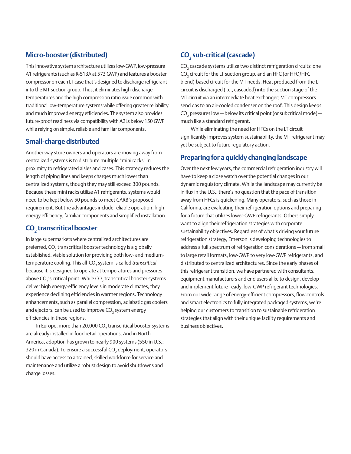### **Micro-booster (distributed)**

This innovative system architecture utilizes low-GWP, low-pressure A1 refrigerants (such as R-513A at 573 GWP) and features a booster compressor on each LT case that's designed to discharge refrigerant into the MT suction group. Thus, it eliminates high-discharge temperatures and the high compression ratio issue common with traditional low-temperature systems while offering greater reliability and much improved energy efficiencies. The system also provides future-proof readiness via compatibility with A2Ls below 150 GWP while relying on simple, reliable and familiar components.

#### **Small-charge distributed**

Another way store owners and operators are moving away from centralized systems is to distribute multiple "mini racks" in proximity to refrigerated aisles and cases. This strategy reduces the length of piping lines and keeps charges much lower than centralized systems, though they may still exceed 300 pounds. Because these mini racks utilize A1 refrigerants, systems would need to be kept below 50 pounds to meet CARB's proposed requirement. But the advantages include reliable operation, high energy efficiency, familiar components and simplified installation.

# **CO2 transcritical booster**

In large supermarkets where centralized architectures are preferred, CO $_{\tiny 2}$  transcritical booster technology is a globally established, viable solution for providing both low- and mediumtemperature cooling. This all-CO<sub>2</sub> system is called *transcritical* because it is designed to operate at temperatures and pressures above CO $_2$ 's critical point. While CO $_2$  transcritical booster systems deliver high energy-efficiency levels in moderate climates, they experience declining efficiencies in warmer regions. Technology enhancements, such as parallel compression, adiabatic gas coolers and ejectors, can be used to improve CO $_{\textrm{\tiny{2}}}$  system energy efficiencies in these regions.

In Europe, more than 20,000 CO $_{\textrm{\tiny{2}}}$  transcritical booster systems are already installed in food retail operations. And in North America, adoption has grown to nearly 900 systems (550 in U.S.; 320 in Canada). To ensure a successful CO $_{\rm 2}$  deployment, operators should have access to a trained, skilled workforce for service and maintenance and utilize a robust design to avoid shutdowns and charge losses.

# **CO2 sub-critical (cascade)**

CO $_{\textrm{\tiny{2}}}$  cascade systems utilize two distinct refrigeration circuits: one CO $_{\textrm{\tiny{2}}}$  circuit for the LT suction group, and an HFC (or HFO/HFC blend)-based circuit for the MT needs. Heat produced from the LT circuit is discharged (i.e., cascaded) into the suction stage of the MT circuit via an intermediate heat exchanger; MT compressors send gas to an air-cooled condenser on the roof. This design keeps CO<sub>2</sub> pressures low — below its critical point (or subcritical mode) much like a standard refrigerant.

While eliminating the need for HFCs on the LT circuit significantly improves system sustainability, the MT refrigerant may yet be subject to future regulatory action.

#### **Preparing for a quickly changing landscape**

Over the next few years, the commercial refrigeration industry will have to keep a close watch over the potential changes in our dynamic regulatory climate. While the landscape may currently be in flux in the U.S., there's no question that the pace of transition away from HFCs is quickening. Many operators, such as those in California, are evaluating their refrigeration options and preparing for a future that utilizes lower-GWP refrigerants. Others simply want to align their refrigeration strategies with corporate sustainability objectives. Regardless of what's driving your future refrigeration strategy, Emerson is developing technologies to address a full spectrum of refrigeration considerations — from small to large retail formats, low-GWP to very low-GWP refrigerants, and distributed to centralized architectures. Since the early phases of this refrigerant transition, we have partnered with consultants, equipment manufacturers and end users alike to design, develop and implement future-ready, low-GWP refrigerant technologies. From our wide range of energy-efficient compressors, flow controls and smart electronics to fully integrated packaged systems, we're helping our customers to transition to sustainable refrigeration strategies that align with their unique facility requirements and business objectives.